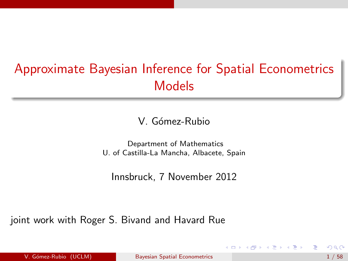# Approximate Bayesian Inference for Spatial Econometrics Models

V. Gómez-Rubio

Department of Mathematics U. of Castilla-La Mancha, Albacete, Spain

<span id="page-0-0"></span>Innsbruck, 7 November 2012

joint work with Roger S. Bivand and Havard Rue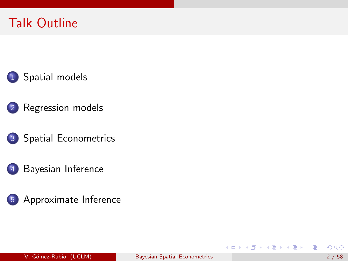# Talk Outline





- 3 [Spatial Econometrics](#page-19-0)
	- [Bayesian Inference](#page-28-0)



造

イロメ イ部メ イヨメ イヨメー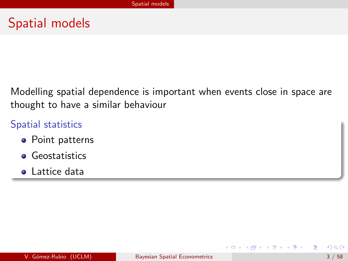### Spatial models

Modelling spatial dependence is important when events close in space are thought to have a similar behaviour

#### Spatial statistics

- **•** Point patterns
- **•** Geostatistics
- **•** Lattice data

<span id="page-2-0"></span>э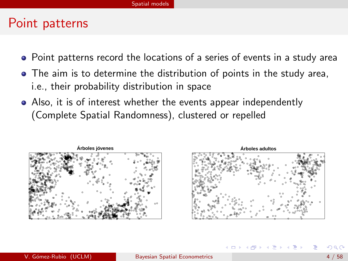#### Point patterns

- Point patterns record the locations of a series of events in a study area
- The aim is to determine the distribution of points in the study area, i.e., their probability distribution in space
- Also, it is of interest whether the events appear independently (Complete Spatial Randomness), clustered or repelled





イロト イ押ト イヨト イヨト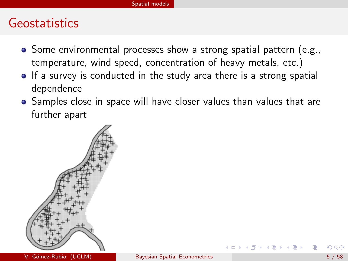#### Geostatistics

- Some environmental processes show a strong spatial pattern (e.g., temperature, wind speed, concentration of heavy metals, etc.)
- If a survey is conducted in the study area there is a strong spatial dependence
- Samples close in space will have closer values than values that are further apart

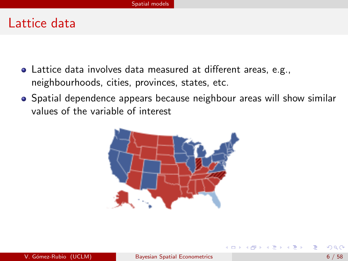#### Lattice data

- Lattice data involves data measured at different areas, e.g., neighbourhoods, cities, provinces, states, etc.
- Spatial dependence appears because neighbour areas will show similar values of the variable of interest



(ロト (母) (ヨ) (ヨ)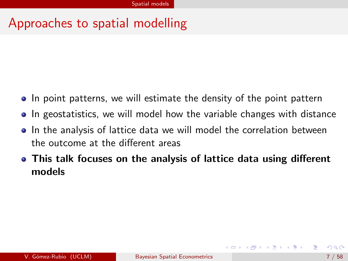# Approaches to spatial modelling

- In point patterns, we will estimate the density of the point pattern
- In geostatistics, we will model how the variable changes with distance
- In the analysis of lattice data we will model the correlation between the outcome at the different areas
- This talk focuses on the analysis of lattice data using different models

 $\left\{ \bigoplus \bullet \; \bullet \; \exists \; \bullet \; \bullet \; \exists \; \bullet \;$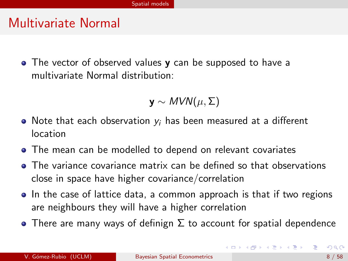#### Multivariate Normal

• The vector of observed values **y** can be supposed to have a multivariate Normal distribution:

$$
\mathbf{y} \sim \textit{MVN}(\mu, \Sigma)
$$

- Note that each observation  $y_i$  has been measured at a different location
- The mean can be modelled to depend on relevant covariates
- The variance covariance matrix can be defined so that observations close in space have higher covariance/correlation
- In the case of lattice data, a common approach is that if two regions are neighbours they will have a higher correlation
- There are many ways of definign  $\Sigma$  to account for spatial dependence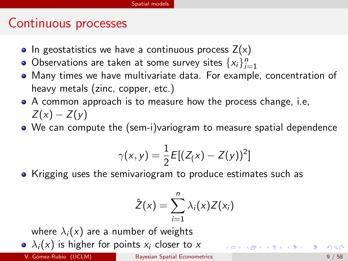#### Continuous processes

- In geostatistics we have a continuous process  $Z(x)$
- Observations are taken at some survey sites  $\{x_i\}_{i=1}^n$
- Many times we have multivariate data. For example, concentration of heavy metals (zinc, copper, etc.)
- A common approach is to measure how the process change, i.e,  $Z(x) - Z(y)$
- We can compute the (sem-i)variogram to measure spatial dependence

$$
\gamma(x, y) = \frac{1}{2} E[(Z(x) - Z(y))^2]
$$

• Krigging uses the semivariogram to produce estimates such as

$$
\hat{Z}(x) = \sum_{i=1}^n \lambda_i(x) Z(x_i)
$$

where  $\lambda_i(x)$  are a number of weights

•  $\lambda_i(x)$  is higher for points  $x_i$  closer to x

K ロ ▶ K 優 ▶ K 결 ▶ K 결 ▶ ○ 결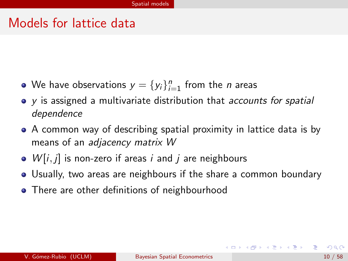#### Models for lattice data

- We have observations  $y = \{y_i\}_{i=1}^n$  from the *n* areas
- y is assigned a multivariate distribution that accounts for spatial dependence
- A common way of describing spatial proximity in lattice data is by means of an adjacency matrix W
- $W[i, j]$  is non-zero if areas i and j are neighbours
- Usually, two areas are neighbours if the share a common boundary
- There are other definitions of neighbourhood

KID KA KID KID KID KOQO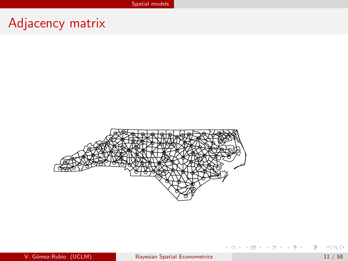# Adjacency matrix



重

イロメ イ部メ イヨメ イヨメー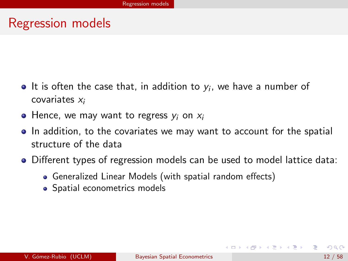#### Regression models

- It is often the case that, in addition to  $y_i$ , we have a number of covariates x<sup>i</sup>
- $\bullet$  Hence, we may want to regress  $y_i$  on  $x_i$
- In addition, to the covariates we may want to account for the spatial structure of the data
- Different types of regression models can be used to model lattice data:
	- Generalized Linear Models (with spatial random effects)
	- Spatial econometrics models

<span id="page-11-0"></span>G.

←ロト イ母ト イヨト イヨトー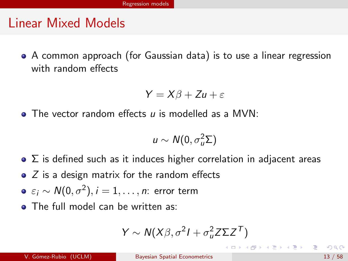#### Linear Mixed Models

A common approach (for Gaussian data) is to use a linear regression with random effects

$$
Y = X\beta + Zu + \varepsilon
$$

 $\bullet$  The vector random effects u is modelled as a MVN:

$$
u \sim N(0, \sigma_u^2 \Sigma)
$$

- $\bullet$   $\Sigma$  is defined such as it induces higher correlation in adjacent areas
- $\bullet$  Z is a design matrix for the random effects
- $\varepsilon_i \sim \mathcal{N}(0, \sigma^2), i=1,\ldots,n$ : error term
- The full model can be written as:

$$
Y \sim N(X\beta, \sigma^2 I + \sigma_u^2 Z \Sigma Z^T)
$$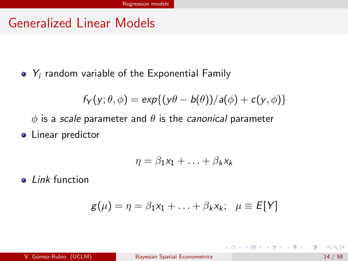#### Generalized Linear Models

 $\bullet$  Y<sub>i</sub> random variable of the Exponential Family

$$
f_Y(y; \theta, \phi) = \exp\{(y\theta - b(\theta))/a(\phi) + c(y, \phi)\}\
$$

 $\phi$  is a scale parameter and  $\theta$  is the canonical parameter

**•** Linear predictor

$$
\eta = \beta_1 x_1 + \ldots + \beta_k x_k
$$

• Link function

$$
g(\mu) = \eta = \beta_1 x_1 + \ldots + \beta_k x_k; \quad \mu \equiv E[Y]
$$

э

イロト イ押ト イヨト イヨトー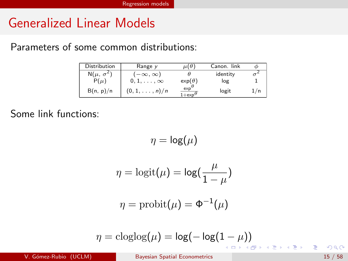#### Generalized Linear Models

Parameters of some common distributions:

| Distribution       | Range $\nu$            | $\mu(\theta)$                      | Canon. link |     |
|--------------------|------------------------|------------------------------------|-------------|-----|
| $N(\mu, \sigma^2)$ | $(-\infty, \infty)$    |                                    | identity    |     |
| $P(\mu)$           | $0, 1, \ldots, \infty$ | $exp(\theta)$                      | log         |     |
| B(n, p)/n          | $(0,1,\ldots,n)/n$     | exp <sup>t</sup><br>$1 + \exp^{t}$ | logit       | 1/n |

Some link functions:

$$
\eta = \log(\mu)
$$

$$
\eta = \text{logit}(\mu) = \text{log}(\frac{\mu}{1-\mu})
$$

$$
\eta = \operatorname{probit}(\mu) = \Phi^{-1}(\mu)
$$

$$
\eta = \text{cloglog}(\mu) = \text{log}(-\log(1-\mu))
$$

重

おす 重める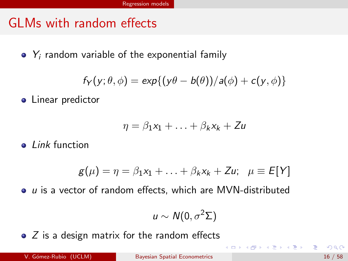### GLMs with random effects

 $\bullet$  Y<sub>i</sub> random variable of the exponential family

$$
f_Y(y; \theta, \phi) = \exp\{(y\theta - b(\theta))/a(\phi) + c(y, \phi)\}\
$$

**•** Linear predictor

$$
\eta = \beta_1 x_1 + \ldots + \beta_k x_k + Z u
$$

 $\bullet$  *Link* function

$$
g(\mu) = \eta = \beta_1 x_1 + \ldots + \beta_k x_k + Z u; \quad \mu \equiv E[Y]
$$

 $\bullet$   $\mu$  is a vector of random effects, which are MVN-distributed

$$
u \sim N(0, \sigma^2 \Sigma)
$$

 $\bullet$  Z is a design matrix for the random effects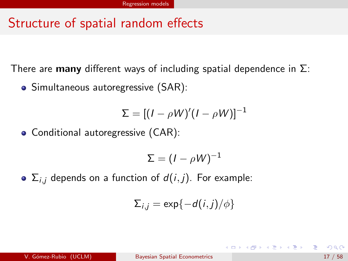# Structure of spatial random effects

There are **many** different ways of including spatial dependence in  $\Sigma$ :

• Simultaneous autoregressive (SAR):

$$
\Sigma = [(I - \rho W)'(I - \rho W)]^{-1}
$$

Conditional autoregressive (CAR):

$$
\Sigma = (I - \rho W)^{-1}
$$

 $\bullet$   $\Sigma_{i,i}$  depends on a function of  $d(i, j)$ . For example:

$$
\Sigma_{i,j} = \exp\{-d(i,j)/\phi\}
$$

 $\left\{ \begin{array}{ccc} \square & \times & \overline{c} & \overline{c} & \rightarrow & \overline{c} & \rightarrow & \overline{c} & \rightarrow & \overline{c} & \rightarrow & \overline{c} & \rightarrow & \overline{c} & \rightarrow & \overline{c} & \rightarrow & \overline{c} & \rightarrow & \overline{c} & \rightarrow & \overline{c} & \rightarrow & \overline{c} & \rightarrow & \overline{c} & \rightarrow & \overline{c} & \rightarrow & \overline{c} & \rightarrow & \overline{c} & \rightarrow & \overline{c} & \rightarrow & \overline{c} & \rightarrow & \overline{c} & \rightarrow & \overline{c} & \rightarrow & \overline{c}$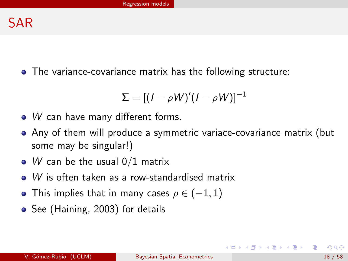The variance-covariance matrix has the following structure:

$$
\Sigma = [(I - \rho W)'(I - \rho W)]^{-1}
$$

- W can have many different forms.
- Any of them will produce a symmetric variace-covariance matrix (but some may be singular!)
- W can be the usual  $0/1$  matrix
- W is often taken as a row-standardised matrix
- This implies that in many cases  $\rho \in (-1,1)$
- See (Haining, 2003) for details

イロト イ押 トイヨト イヨト ニヨー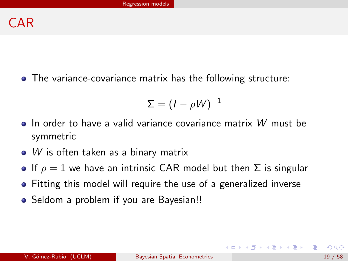The variance-covariance matrix has the following structure:

$$
\Sigma = (I - \rho W)^{-1}
$$

- $\bullet$  In order to have a valid variance covariance matrix W must be symmetric
- W is often taken as a binary matrix
- **If**  $\rho = 1$  we have an intrinsic CAR model but then  $\Sigma$  is singular
- Fitting this model will require the use of a generalized inverse
- Seldom a problem if you are Bayesian!!

イロト イ押ト イヨト イヨトー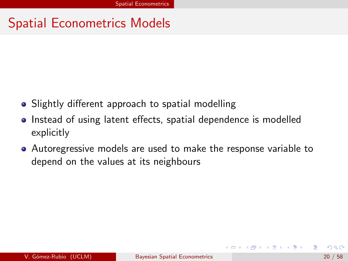# Spatial Econometrics Models

- Slightly different approach to spatial modelling
- Instead of using latent effects, spatial dependence is modelled explicitly
- Autoregressive models are used to make the response variable to depend on the values at its neighbours

<span id="page-19-0"></span> $A \oplus A \rightarrow A \oplus A \rightarrow A \oplus A$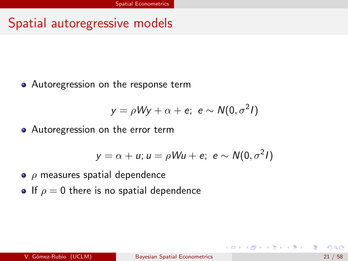#### Spatial autoregressive models

• Autoregression on the response term

$$
y = \rho W y + \alpha + e; \ e \sim N(0, \sigma^2 I)
$$

• Autoregression on the error term

$$
y = \alpha + u; u = \rho W u + e; e \sim N(0, \sigma^2 I)
$$

- $\bullet$   $\rho$  measures spatial dependence
- If  $\rho = 0$  there is no spatial dependence

 $($  ロ )  $($  何 )  $($  ミ )  $)$   $($  コ  $)$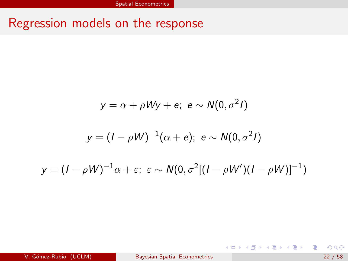# Regression models on the response

$$
y = \alpha + \rho Wy + e; \ e \sim N(0, \sigma^2 I)
$$

$$
y = (I - \rho W)^{-1}(\alpha + e); \ e \sim N(0, \sigma^2 I)
$$

$$
y = (I - \rho W)^{-1} \alpha + \varepsilon; \ \varepsilon \sim N(0, \sigma^2 [(I - \rho W')(I - \rho W)]^{-1})
$$

造

イロト イ部 トイモト イモト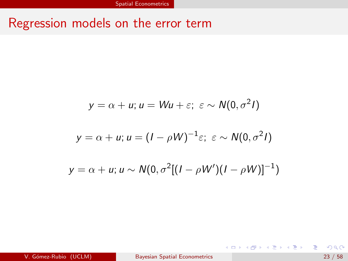# Regression models on the error term

$$
y = \alpha + u; u = Wu + \varepsilon; \ \varepsilon \sim N(0, \sigma^2 I)
$$

$$
y = \alpha + u; u = (I - \rho W)^{-1} \varepsilon; \ \varepsilon \sim N(0, \sigma^2 I)
$$

$$
y = \alpha + u; u \sim N(0, \sigma^2 [(I - \rho W')(I - \rho W)]^{-1})
$$

重

イロメ イ母メ イヨメ イヨメー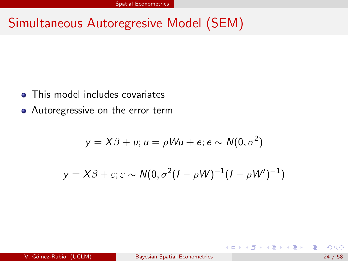# Simultaneous Autoregresive Model (SEM)

- This model includes covariates
- Autoregressive on the error term

$$
y = X\beta + u; u = \rho W u + e; e \sim N(0, \sigma^2)
$$

$$
y = X\beta + \varepsilon; \varepsilon \sim N(0, \sigma^2(I - \rho W)^{-1}(I - \rho W')^{-1})
$$

э

 $\mathcal{A} \oplus \mathcal{B}$  and  $\mathcal{A} \oplus \mathcal{B}$  and  $\mathcal{B} \oplus \mathcal{B}$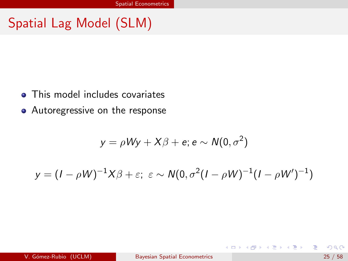# Spatial Lag Model (SLM)

- This model includes covariates
- Autoregressive on the response

$$
y = \rho W y + X \beta + e; e \sim N(0, \sigma^2)
$$

$$
y = (I - \rho W)^{-1} X \beta + \varepsilon; \ \varepsilon \sim N(0, \sigma^2 (I - \rho W)^{-1} (I - \rho W')^{-1})
$$

э

イロト イ押ト イヨト イヨト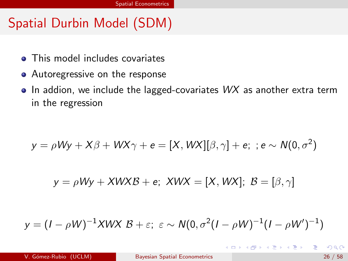# Spatial Durbin Model (SDM)

- This model includes covariates
- Autoregressive on the response
- $\bullet$  In addion, we include the lagged-covariates  $WX$  as another extra term in the regression

$$
y = \rho Wy + X\beta + WX\gamma + e = [X, WX][\beta, \gamma] + e; \; ; e \sim N(0, \sigma^2)
$$

$$
y = \rho Wy + XWXB + e; XWX = [X,WX]; B = [\beta, \gamma]
$$

$$
y = (I - \rho W)^{-1}XWX \mathcal{B} + \varepsilon; \ \varepsilon \sim N(0, \sigma^2(I - \rho W)^{-1}(I - \rho W')^{-1})
$$

 $\mathcal{A} \oplus \mathcal{B}$  and  $\mathcal{A} \oplus \mathcal{B}$  and  $\mathcal{B} \oplus \mathcal{B}$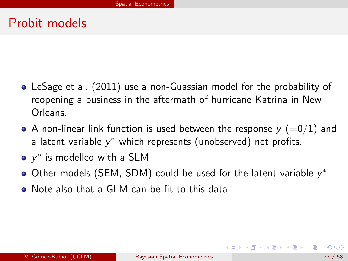#### Probit models

- LeSage et al. (2011) use a non-Guassian model for the probability of reopening a business in the aftermath of hurricane Katrina in New Orleans.
- A non-linear link function is used between the response  $y (=0/1)$  and a latent variable  $y^*$  which represents (unobserved) net profits.
- $y^*$  is modelled with a SLM
- Other models (SEM, SDM) could be used for the latent variable  $y^*$
- Note also that a GLM can be fit to this data

K ロ ▶ K 御 ▶ K 君 ▶ K 君 ▶ ...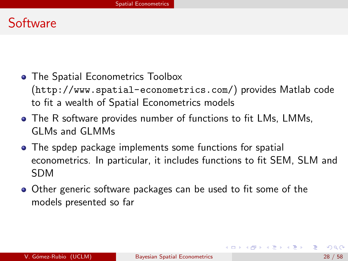#### Software

- **The Spatial Econometrics Toolbox** (<http://www.spatial-econometrics.com/>) provides Matlab code to fit a wealth of Spatial Econometrics models
- The R software provides number of functions to fit LMs, LMMs, GLMs and GLMMs
- The spdep package implements some functions for spatial econometrics. In particular, it includes functions to fit SEM, SLM and SDM
- Other generic software packages can be used to fit some of the models presented so far

イロト イ押ト イヨト イヨトー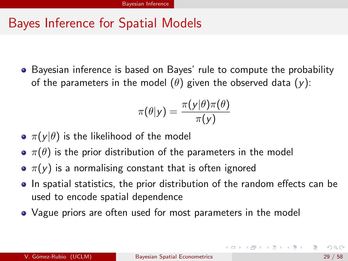# Bayes Inference for Spatial Models

• Bayesian inference is based on Bayes' rule to compute the probability of the parameters in the model  $(\theta)$  given the observed data  $(y)$ :

$$
\pi(\theta|y) = \frac{\pi(y|\theta)\pi(\theta)}{\pi(y)}
$$

- $\pi(y|\theta)$  is the likelihood of the model
- $\bullet \pi(\theta)$  is the prior distribution of the parameters in the model
- $\sigma$   $\pi(y)$  is a normalising constant that is often ignored
- In spatial statistics, the prior distribution of the random effects can be used to encode spatial dependence
- Vague priors are often used for most parameters in the model

<span id="page-28-0"></span> $\left\{ \begin{array}{ccc} \square & \times & \square & \times & \times \end{array} \right.$  and  $\left\{ \begin{array}{ccc} \square & \times & \times & \square & \times \end{array} \right.$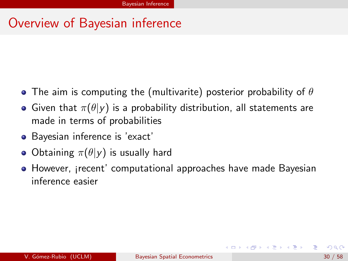# Overview of Bayesian inference

- The aim is computing the (multivarite) posterior probability of  $\theta$
- Given that  $\pi(\theta|y)$  is a probability distribution, all statements are made in terms of probabilities
- Bayesian inference is 'exact'
- Obtaining  $\pi(\theta|y)$  is usually hard
- However, irecent' computational approaches have made Bayesian inference easier

イロト イ押ト イヨト イヨトー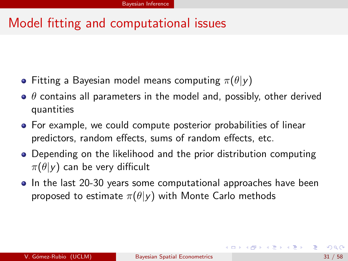# Model fitting and computational issues

- Fitting a Bayesian model means computing  $\pi(\theta|\mathbf{v})$
- $\bullet$   $\theta$  contains all parameters in the model and, possibly, other derived quantities
- For example, we could compute posterior probabilities of linear predictors, random effects, sums of random effects, etc.
- Depending on the likelihood and the prior distribution computing  $\pi(\theta|\mathsf{y})$  can be very difficult
- In the last 20-30 years some computational approaches have been proposed to estimate  $\pi(\theta|y)$  with Monte Carlo methods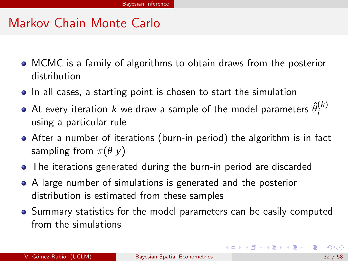#### Markov Chain Monte Carlo

- MCMC is a family of algorithms to obtain draws from the posterior distribution
- In all cases, a starting point is chosen to start the simulation
- At every iteration  $k$  we draw a sample of the model parameters  $\hat{\theta}^{(k)}_i$ i using a particular rule
- After a number of iterations (burn-in period) the algorithm is in fact sampling from  $\pi(\theta|\mathbf{v})$
- The iterations generated during the burn-in period are discarded
- A large number of simulations is generated and the posterior distribution is estimated from these samples
- Summary statistics for the model parameters can be easily computed from the simulations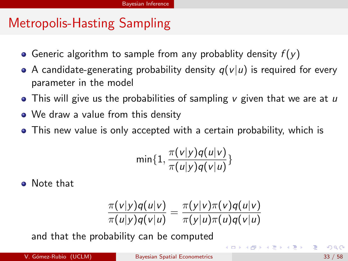# Metropolis-Hasting Sampling

- Generic algorithm to sample from any probablity density  $f(y)$
- A candidate-generating probability density  $q(v|u)$  is required for every parameter in the model
- This will give us the probabilities of sampling  $\nu$  given that we are at  $\nu$
- We draw a value from this density
- This new value is only accepted with a certain probability, which is

$$
\min\{1,\frac{\pi(v|y)q(u|v)}{\pi(u|y)q(v|u)}\}
$$

Note that

$$
\frac{\pi(v|y)q(u|v)}{\pi(u|y)q(v|u)} = \frac{\pi(y|v)\pi(v)q(u|v)}{\pi(y|u)\pi(u)q(v|u)}
$$

and that the probability can be computed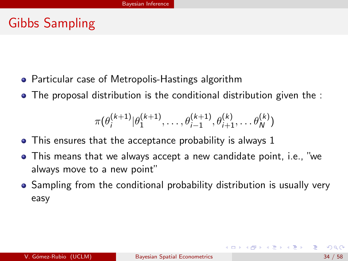# Gibbs Sampling

- **•** Particular case of Metropolis-Hastings algorithm
- The proposal distribution is the conditional distribution given the :

$$
\pi(\theta_i^{(k+1)} | \theta_1^{(k+1)}, \ldots, \theta_{i-1}^{(k+1)}, \theta_{i+1}^{(k)}, \ldots, \theta_N^{(k)})
$$

- This ensures that the acceptance probability is always 1
- This means that we always accept a new candidate point, i.e., "we always move to a new point"
- Sampling from the conditional probability distribution is usually very easy

イロト イ押ト イヨト イヨトー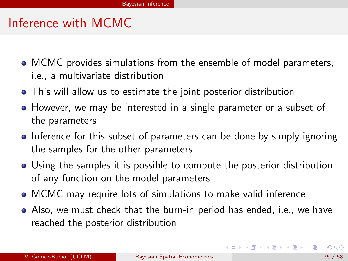#### Inference with MCMC

- MCMC provides simulations from the ensemble of model parameters, i.e., a multivariate distribution
- This will allow us to estimate the joint posterior distribution
- However, we may be interested in a single parameter or a subset of the parameters
- Inference for this subset of parameters can be done by simply ignoring the samples for the other parameters
- Using the samples it is possible to compute the posterior distribution of any function on the model parameters
- MCMC may require lots of simulations to make valid inference
- Also, we must check that the burn-in period has ended, i.e., we have reached the posterior distribution

G.

イロト イ押 トイヨ トイヨ トー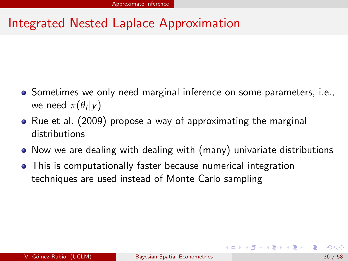- Sometimes we only need marginal inference on some parameters, *i.e.*, we need  $\pi(\theta_i|y)$
- Rue et al. (2009) propose a way of approximating the marginal distributions
- Now we are dealing with dealing with (many) univariate distributions
- This is computationally faster because numerical integration techniques are used instead of Monte Carlo sampling

<span id="page-35-0"></span>イロト イ押ト イヨト イヨトー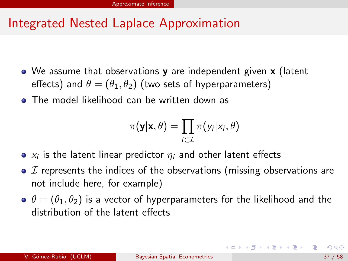- We assume that observations y are independent given x (latent effects) and  $\theta = (\theta_1, \theta_2)$  (two sets of hyperparameters)
- **•** The model likelihood can be written down as

$$
\pi(\mathbf{y}|\mathbf{x},\theta) = \prod_{i \in \mathcal{I}} \pi(y_i|x_i,\theta)
$$

- $\mathsf{x}_i$  is the latent linear predictor  $\eta_i$  and other latent effects
- $\bullet$   $\mathcal I$  represents the indices of the observations (missing observations are not include here, for example)
- $\Theta \theta = (\theta_1, \theta_2)$  is a vector of hyperparameters for the likelihood and the distribution of the latent effects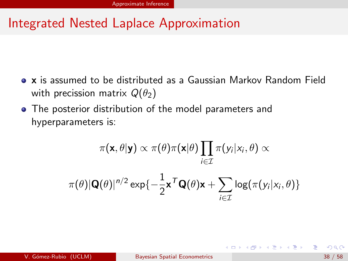- x is assumed to be distributed as a Gaussian Markov Random Field with precission matrix  $Q(\theta_2)$
- The posterior distribution of the model parameters and hyperparameters is:

$$
\pi(\mathbf{x}, \theta | \mathbf{y}) \propto \pi(\theta) \pi(\mathbf{x} | \theta) \prod_{i \in \mathcal{I}} \pi(y_i | x_i, \theta) \propto
$$

$$
\pi(\theta) |\mathbf{Q}(\theta)|^{n/2} \exp\{-\frac{1}{2} \mathbf{x}^T \mathbf{Q}(\theta) \mathbf{x} + \sum_{i \in \mathcal{I}} \log(\pi(y_i | x_i, \theta))\}
$$

 $\left\{ \left. \left( \left. \left| \Phi \right| \right. \right) \left. \left. \left( \left. \left| \Phi \right| \right. \right) \right| \right. \left. \left. \left( \left. \left| \Phi \right| \right) \right| \right. \right. \left. \left( \left. \left| \Phi \right| \right) \right| \right. \right. \left. \left( \left. \left| \Phi \right| \right) \right| \right. \right. \left. \left( \left. \left| \Phi \right| \right) \right| \right. \left. \left( \left. \left| \Phi \right| \right) \right| \right)$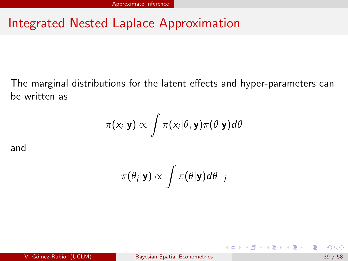The marginal distributions for the latent effects and hyper-parameters can be written as

$$
\pi(x_i|\mathbf{y}) \propto \int \pi(x_i|\theta, \mathbf{y}) \pi(\theta|\mathbf{y}) d\theta
$$

and

$$
\pi(\theta_j|\mathbf{y}) \propto \int \pi(\theta|\mathbf{y}) d\theta_{-j}
$$

э

イロト イ押ト イヨト イヨト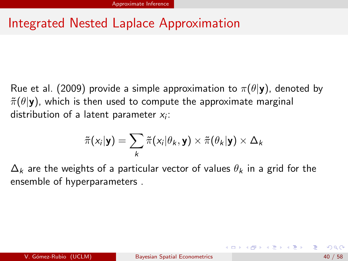Rue et al. (2009) provide a simple approximation to  $\pi(\theta|\mathbf{y})$ , denoted by  $\tilde{\pi}(\theta|\mathbf{y})$ , which is then used to compute the approximate marginal distribution of a latent parameter  $x_i$ :

$$
\tilde{\pi}(x_i|\mathbf{y}) = \sum_{k} \tilde{\pi}(x_i|\theta_k, \mathbf{y}) \times \tilde{\pi}(\theta_k|\mathbf{y}) \times \Delta_k
$$

 $\Delta_k$  are the weights of a particular vector of values  $\theta_k$  in a grid for the ensemble of hyperparameters .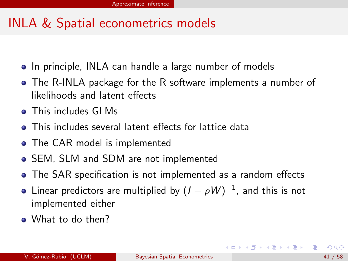### INLA & Spatial econometrics models

- In principle, INLA can handle a large number of models
- The R-INLA package for the R software implements a number of likelihoods and latent effects
- **•** This includes GLMs
- **This includes several latent effects for lattice data**
- The CAR model is implemented
- SEM, SLM and SDM are not implemented
- The SAR specification is not implemented as a random effects
- Linear predictors are multiplied by  $(I-\rho W)^{-1}$ , and this is not implemented either
- What to do then?

**KONKARD KENKEN E**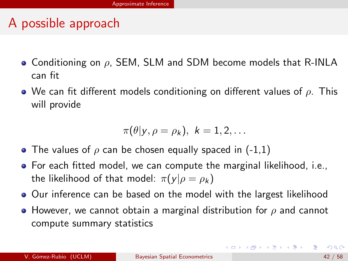### A possible approach

- Conditioning on  $\rho$ , SEM, SLM and SDM become models that R-INLA can fit
- We can fit different models conditioning on different values of  $\rho$ . This will provide

$$
\pi(\theta | y, \rho = \rho_k), \,\, k=1,2,\ldots
$$

- The values of  $\rho$  can be chosen equally spaced in (-1,1)
- For each fitted model, we can compute the marginal likelihood, i.e., the likelihood of that model:  $\pi(y|\rho = \rho_k)$
- **Our inference can be based on the model with the largest likelihood**
- However, we cannot obtain a marginal distribution for  $\rho$  and cannot compute summary statistics

K ロ ▶ K 個 ▶ K 로 ▶ K 로 ▶ 『 콘 』 900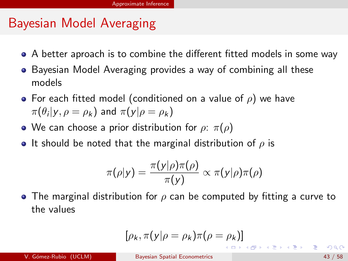# Bayesian Model Averaging

- A better aproach is to combine the different fitted models in some way
- Bayesian Model Averaging provides a way of combining all these models
- For each fitted model (conditioned on a value of  $\rho$ ) we have  $\pi(\theta_i | y, \rho = \rho_k)$  and  $\pi(y | \rho = \rho_k)$
- We can choose a prior distribution for  $\rho$ :  $\pi(\rho)$
- It should be noted that the marginal distribution of  $\rho$  is

$$
\pi(\rho|y) = \frac{\pi(y|\rho)\pi(\rho)}{\pi(y)} \propto \pi(y|\rho)\pi(\rho)
$$

• The marginal distribution for  $\rho$  can be computed by fitting a curve to the values

$$
[\rho_k, \pi(\mathsf{y}|\rho=\rho_k)\pi(\rho=\rho_k)]
$$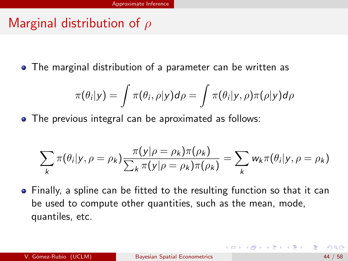# Marginal distribution of  $\rho$

The marginal distribution of a parameter can be written as

$$
\pi(\theta_i|y)=\int \pi(\theta_i,\rho|y)d\rho=\int \pi(\theta_i|y,\rho)\pi(\rho|y)d\rho
$$

The previous integral can be aproximated as follows:

$$
\sum_{k} \pi(\theta_i | y, \rho = \rho_k) \frac{\pi(y | \rho = \rho_k) \pi(\rho_k)}{\sum_{k} \pi(y | \rho = \rho_k) \pi(\rho_k)} = \sum_{k} w_k \pi(\theta_i | y, \rho = \rho_k)
$$

Finally, a spline can be fitted to the resulting function so that it can be used to compute other quantities, such as the mean, mode, quantiles, etc.

**K ロ ▶ K 伺 ▶ K ヨ ▶ K ヨ ▶**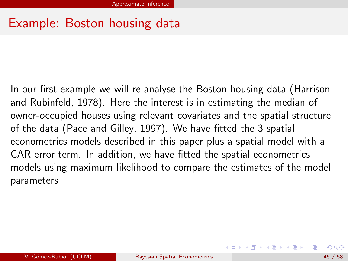#### Example: Boston housing data

In our first example we will re-analyse the Boston housing data (Harrison and Rubinfeld, 1978). Here the interest is in estimating the median of owner-occupied houses using relevant covariates and the spatial structure of the data (Pace and Gilley, 1997). We have fitted the 3 spatial econometrics models described in this paper plus a spatial model with a CAR error term. In addition, we have fitted the spatial econometrics models using maximum likelihood to compare the estimates of the model parameters

イロメ イ部メ イヨメ イヨメー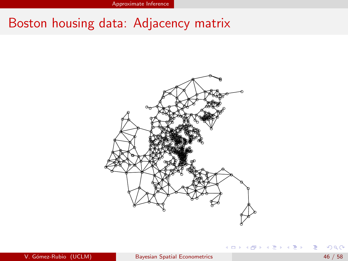Approximate Inference

#### Boston housing data: Adjacency matrix



イロト イ押ト イヨト イヨト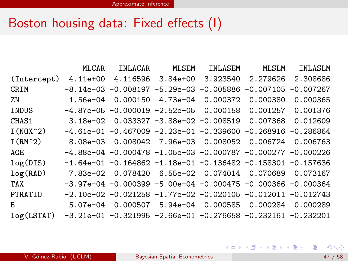#### Boston housing data: Fixed effects (I)

|                                                                          | MLCAR    | INLACAR           | MLSEM | INLASEM                                                                 | MLSLM    | INLASLM  |
|--------------------------------------------------------------------------|----------|-------------------|-------|-------------------------------------------------------------------------|----------|----------|
| (Intercept)                                                              | 4.11e+00 |                   |       | 4.116596 3.84e+00 3.923540 2.279626                                     |          | 2.308686 |
| <b>CRIM</b>                                                              |          |                   |       | $-8.14e-03$ $-0.008197$ $-5.29e-03$ $-0.005886$ $-0.007105$ $-0.007267$ |          |          |
| ZN                                                                       |          | 1.56e-04 0.000150 |       | 4.73e-04 0.000372                                                       | 0.000380 | 0.000365 |
| INDUS                                                                    |          |                   |       | $-4.87e-05 -0.000019 -2.52e-05 0.000158$                                | 0.001257 | 0.001376 |
| CHAS1                                                                    |          |                   |       | $3.18e-02$ 0.033327 $-3.88e-02$ $-0.008519$ 0.007368                    |          | 0.012609 |
| $I(N0X^2)$                                                               |          |                   |       | $-4.61e-01$ $-0.467009$ $-2.23e-01$ $-0.339600$ $-0.268916$ $-0.286864$ |          |          |
| $I(RM^2)$                                                                |          |                   |       | 8.08e-03  0.008042  7.96e-03  0.008052                                  | 0.006724 | 0.006763 |
| AGE                                                                      |          |                   |       | $-4.88e-04$ -0.000478 -1.05e-03 -0.000787 -0.000277 -0.000226           |          |          |
| log(DIS)                                                                 |          |                   |       | $-1.64e-01$ $-0.164862$ $-1.18e-01$ $-0.136482$ $-0.158301$ $-0.157636$ |          |          |
| log(RAD)                                                                 |          |                   |       | 7.83e-02  0.078420  6.55e-02  0.074014  0.070689  0.073167              |          |          |
| TAX                                                                      |          |                   |       | $-3.97e-04$ -0.000399 -5.00e-04 -0.000475 -0.000366 -0.000364           |          |          |
| <b>PTRATIO</b>                                                           |          |                   |       | $-2.10e-02$ $-0.021258$ $-1.77e-02$ $-0.020105$ $-0.012011$ $-0.012743$ |          |          |
| B                                                                        |          |                   |       | 5.07e-04  0.000507  5.94e-04  0.000585  0.000284  0.000289              |          |          |
| $log(LSTAT)$ -3.21e-01 -0.321995 -2.66e-01 -0.276658 -0.232161 -0.232201 |          |                   |       |                                                                         |          |          |

造

イロメ イ母メ イヨメ イヨメー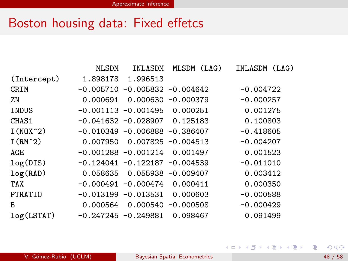# Boston housing data: Fixed effetcs

|             | <b>MLSDM</b> | INLASDM                           | MLSDM<br>(LAG)        | INLASDM (LAG) |
|-------------|--------------|-----------------------------------|-----------------------|---------------|
| (Intercept) |              | 1.898178 1.996513                 |                       |               |
| <b>CRIM</b> |              | $-0.005710 - 0.005832 - 0.004642$ |                       | $-0.004722$   |
| ZN          | 0.000691     |                                   | $0.000630 - 0.000379$ | $-0.000257$   |
| INDUS       |              | $-0.001113 - 0.001495 0.000251$   |                       | 0.001275      |
| CHAS1       |              | $-0.041632 - 0.028907$ 0.125183   |                       | 0.100803      |
| $I(N0X^2)$  |              | $-0.010349 - 0.006888 - 0.386407$ |                       | $-0.418605$   |
| $I(RM^2)$   |              | $0.007950$ $0.007825 -0.004513$   |                       | $-0.004207$   |
| AGE         |              | $-0.001288 - 0.001214$            | 0.001497              | 0.001523      |
| log(DIS)    |              | $-0.124041 - 0.122187 - 0.004539$ |                       | $-0.011010$   |
| log(RAD)    |              | $0.058635$ $0.055938 - 0.009407$  |                       | 0.003412      |
| TAX         |              | $-0.000491 - 0.000474 0.000411$   |                       | 0.000350      |
| PTRATIO     |              | $-0.013199 - 0.013531$            | 0.000603              | $-0.000588$   |
| B           |              | $0.000564$ 0.000540 -0.000508     |                       | $-0.000429$   |
| log(LSTAT)  |              | $-0.247245 - 0.249881$            | 0.098467              | 0.091499      |

造

イロト イ部 トイモト イモト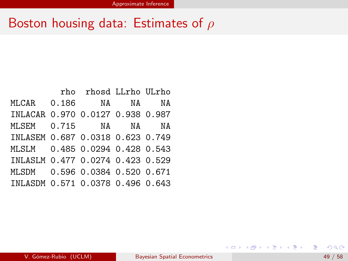### Boston housing data: Estimates of  $\rho$

|                                  | rho rhosd LLrho ULrho |  |
|----------------------------------|-----------------------|--|
| MLCAR 0.186 NA NA NA             |                       |  |
| INLACAR 0.970 0.0127 0.938 0.987 |                       |  |
| MLSEM 0.715 NA NA NA             |                       |  |
| INLASEM 0.687 0.0318 0.623 0.749 |                       |  |
| MLSLM 0.485 0.0294 0.428 0.543   |                       |  |
| INLASLM 0.477 0.0274 0.423 0.529 |                       |  |
| MLSDM 0.596 0.0384 0.520 0.671   |                       |  |
| INLASDM 0.571 0.0378 0.496 0.643 |                       |  |

造

イロメ イ母メ イヨメ イヨメー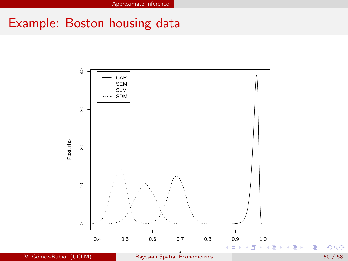# Example: Boston housing data

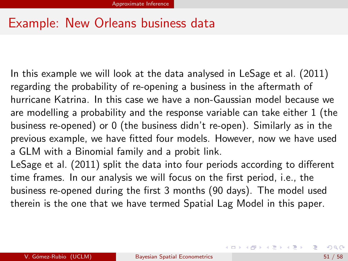#### Example: New Orleans business data

In this example we will look at the data analysed in LeSage et al. (2011) regarding the probability of re-opening a business in the aftermath of hurricane Katrina. In this case we have a non-Gaussian model because we are modelling a probability and the response variable can take either 1 (the business re-opened) or 0 (the business didn't re-open). Similarly as in the previous example, we have fitted four models. However, now we have used a GLM with a Binomial family and a probit link.

LeSage et al. (2011) split the data into four periods according to different time frames. In our analysis we will focus on the first period, i.e., the business re-opened during the first 3 months (90 days). The model used therein is the one that we have termed Spatial Lag Model in this paper.

K ロ ▶ K 個 ▶ K 로 ▶ K 로 ▶ 『 콘 │ ◆ 9,9,0\*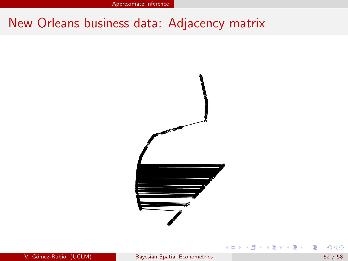Approximate Inference

# New Orleans business data: Adjacency matrix



э

 $\mathcal{A} \ \equiv \ \mathcal{B} \ \ \mathcal{A} \ \equiv \ \mathcal{B}$ 

 $\leftarrow$   $\Box$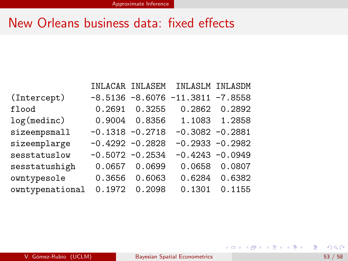#### New Orleans business data: fixed effects

|                 |                    |               | INLACAR INLASEM INLASLM INLASDM       |               |
|-----------------|--------------------|---------------|---------------------------------------|---------------|
| (Intercept)     |                    |               | $-8.5136 - 8.6076 - 11.3811 - 7.8558$ |               |
| flood           | 0.2691             | 0.3255        |                                       | 0.2862 0.2892 |
| log(medinc)     |                    | 0.9004 0.8356 |                                       | 1.1083 1.2858 |
| sizeempsmall    | $-0.1318 - 0.2718$ |               | $-0.3082 - 0.2881$                    |               |
| sizeemplarge    | $-0.4292 -0.2828$  |               | $-0.2933 - 0.2982$                    |               |
| sesstatuslow    | $-0.5072 -0.2534$  |               | $-0.4243 - 0.0949$                    |               |
| sesstatushigh   | 0.0657             | 0.0699        | 0.0658                                | 0.0807        |
| owntypesole     | 0.3656             | 0.6063        |                                       | 0.6284 0.6382 |
| owntypenational | 0.1972             | 0.2098        | 0.1301                                | 0.1155        |

重

イロト イ部 トイモト イモト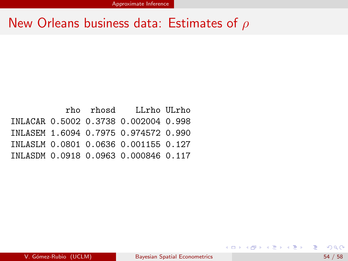#### New Orleans business data: Estimates of  $\rho$

rho rhosd LLrho ULrho INLACAR 0.5002 0.3738 0.002004 0.998 INLASEM 1.6094 0.7975 0.974572 0.990 INLASLM 0.0801 0.0636 0.001155 0.127 INLASDM 0.0918 0.0963 0.000846 0.117

G.

イロト イ押 トイヨ トイヨ トー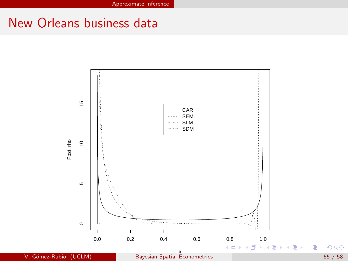#### New Orleans business data

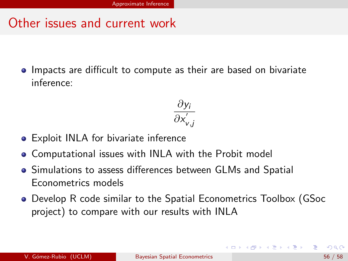#### Other issues and current work

**IMPACTE and influct to compute as their are based on bivariate** inference:

$$
\frac{\partial y_i}{\partial x_{v,j}^{'}}
$$

- **•** Exploit INLA for bivariate inference
- Computational issues with INLA with the Probit model
- Simulations to assess differences between GLMs and Spatial Econometrics models
- Develop R code similar to the Spatial Econometrics Toolbox (GSoc project) to compare with our results with INLA

→ イ何 ト イヨ ト イヨ トー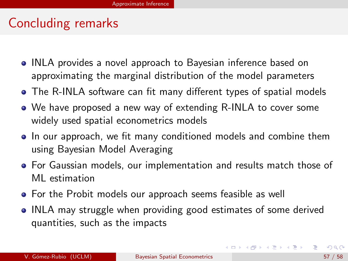### Concluding remarks

- INLA provides a novel approach to Bayesian inference based on approximating the marginal distribution of the model parameters
- The R-INLA software can fit many different types of spatial models
- We have proposed a new way of extending R-INLA to cover some widely used spatial econometrics models
- In our approach, we fit many conditioned models and combine them using Bayesian Model Averaging
- For Gaussian models, our implementation and results match those of ML estimation
- **•** For the Probit models our approach seems feasible as well
- INLA may struggle when providing good estimates of some derived quantities, such as the impacts

イロト イ押 トイヨ トイヨト